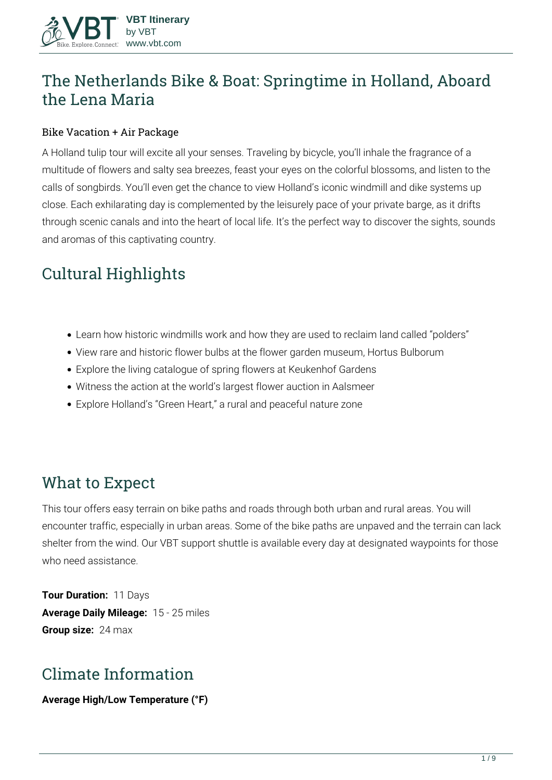# **The Netherlands Bike & Boat: Springtime in Holland, Aboard the Lena Maria**

#### Bike Vacation + Air Package

A Holland tulip tour will excite all your senses. Traveling by bicycle, you'll inhale the fragrance of a multitude of flowers and salty sea breezes, feast your eyes on the colorful blossoms, and listen to the calls of songbirds. You'll even get the chance to view Holland's iconic windmill and dike systems up close. Each exhilarating day is complemented by the leisurely pace of your private barge, as it drifts through scenic canals and into the heart of local life. It's the perfect way to discover the sights, sounds and aromas of this captivating country.

# **Cultural Highlights**

- Learn how historic windmills work and how they are used to reclaim land called "polders"
- View rare and historic flower bulbs at the flower garden museum, Hortus Bulborum
- Explore the living catalogue of spring flowers at Keukenhof Gardens
- Witness the action at the world's largest flower auction in Aalsmeer
- Explore Holland's "Green Heart," a rural and peaceful nature zone

# **What to Expect**

This tour offers easy terrain on bike paths and roads through both urban and rural areas. You will encounter traffic, especially in urban areas. Some of the bike paths are unpaved and the terrain can lack shelter from the wind. Our VBT support shuttle is available every day at designated waypoints for those who need assistance.

**Tour Duration:** 11 Days **Average Daily Mileage:** 15 - 25 miles **Group size:** 24 max

# **Climate Information**

**Average High/Low Temperature (°F)**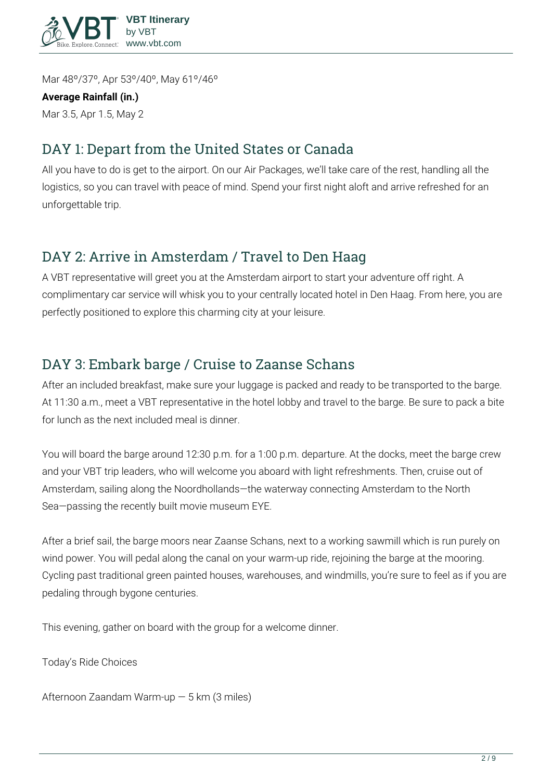

Mar 48º/37º, Apr 53º/40º, May 61º/46º

#### **Average Rainfall (in.)**

Mar 3.5, Apr 1.5, May 2

# **DAY 1: Depart from the United States or Canada**

All you have to do is get to the airport. On our Air Packages, we'll take care of the rest, handling all the logistics, so you can travel with peace of mind. Spend your first night aloft and arrive refreshed for an unforgettable trip.

## **DAY 2: Arrive in Amsterdam / Travel to Den Haag**

A VBT representative will greet you at the Amsterdam airport to start your adventure off right. A complimentary car service will whisk you to your centrally located hotel in Den Haag. From here, you are perfectly positioned to explore this charming city at your leisure.

## **DAY 3: Embark barge / Cruise to Zaanse Schans**

After an included breakfast, make sure your luggage is packed and ready to be transported to the barge. At 11:30 a.m., meet a VBT representative in the hotel lobby and travel to the barge. Be sure to pack a bite for lunch as the next included meal is dinner.

You will board the barge around 12:30 p.m. for a 1:00 p.m. departure. At the docks, meet the barge crew and your VBT trip leaders, who will welcome you aboard with light refreshments. Then, cruise out of Amsterdam, sailing along the Noordhollands—the waterway connecting Amsterdam to the North Sea—passing the recently built movie museum EYE.

After a brief sail, the barge moors near Zaanse Schans, next to a working sawmill which is run purely on wind power. You will pedal along the canal on your warm-up ride, rejoining the barge at the mooring. Cycling past traditional green painted houses, warehouses, and windmills, you're sure to feel as if you are pedaling through bygone centuries.

This evening, gather on board with the group for a welcome dinner.

**Today's Ride Choices**

**Afternoon** Zaandam Warm-up — 5 km (3 miles)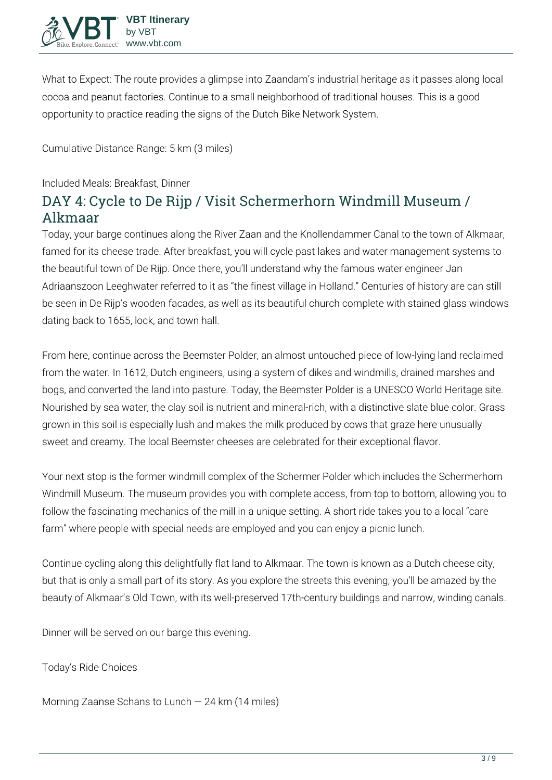

**What to Expect:** The route provides a glimpse into Zaandam's industrial heritage as it passes along local cocoa and peanut factories. Continue to a small neighborhood of traditional houses. This is a good opportunity to practice reading the signs of the Dutch Bike Network System.

**Cumulative Distance Range:** 5 km (3 miles)

**Included Meals:** Breakfast, Dinner

# **DAY 4: Cycle to De Rijp / Visit Schermerhorn Windmill Museum / Alkmaar**

Today, your barge continues along the River Zaan and the Knollendammer Canal to the town of Alkmaar, famed for its cheese trade. After breakfast, you will cycle past lakes and water management systems to the beautiful town of De Rijp. Once there, you'll understand why the famous water engineer Jan Adriaanszoon Leeghwater referred to it as "the finest village in Holland." Centuries of history are can still be seen in De Rijp's wooden facades, as well as its beautiful church complete with stained glass windows dating back to 1655, lock, and town hall.

From here, continue across the Beemster Polder, an almost untouched piece of low-lying land reclaimed from the water. In 1612, Dutch engineers, using a system of dikes and windmills, drained marshes and bogs, and converted the land into pasture. Today, the Beemster Polder is a UNESCO World Heritage site. Nourished by sea water, the clay soil is nutrient and mineral-rich, with a distinctive slate blue color. Grass grown in this soil is especially lush and makes the milk produced by cows that graze here unusually sweet and creamy. The local Beemster cheeses are celebrated for their exceptional flavor.

Your next stop is the former windmill complex of the Schermer Polder which includes the Schermerhorn Windmill Museum. The museum provides you with complete access, from top to bottom, allowing you to follow the fascinating mechanics of the mill in a unique setting. A short ride takes you to a local "care farm" where people with special needs are employed and you can enjoy a picnic lunch.

Continue cycling along this delightfully flat land to Alkmaar. The town is known as a Dutch cheese city, but that is only a small part of its story. As you explore the streets this evening, you'll be amazed by the beauty of Alkmaar's Old Town, with its well-preserved 17th-century buildings and narrow, winding canals.

Dinner will be served on our barge this evening.

**Today's Ride Choices**

**Morning** Zaanse Schans to Lunch — 24 km (14 miles)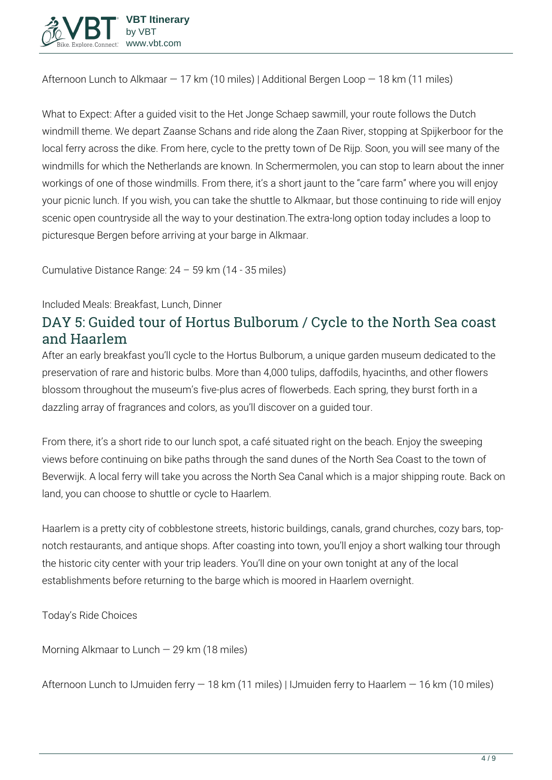

**Afternoon** Lunch to Alkmaar — 17 km (10 miles) | Additional Bergen Loop — 18 km (11 miles)

**What to Expect:** After a guided visit to the Het Jonge Schaep sawmill, your route follows the Dutch windmill theme. We depart Zaanse Schans and ride along the Zaan River, stopping at Spijkerboor for the local ferry across the dike. From here, cycle to the pretty town of De Rijp. Soon, you will see many of the windmills for which the Netherlands are known. In Schermermolen, you can stop to learn about the inner workings of one of those windmills. From there, it's a short jaunt to the "care farm" where you will enjoy your picnic lunch. If you wish, you can take the shuttle to Alkmaar, but those continuing to ride will enjoy scenic open countryside all the way to your destination.The extra-long option today includes a loop to picturesque Bergen before arriving at your barge in Alkmaar.

**Cumulative Distance Range:** 24 – 59 km (14 - 35 miles)

#### **Included Meals:** Breakfast, Lunch, Dinner

### **DAY 5: Guided tour of Hortus Bulborum / Cycle to the North Sea coast and Haarlem**

After an early breakfast you'll cycle to the Hortus Bulborum, a unique garden museum dedicated to the preservation of rare and historic bulbs. More than 4,000 tulips, daffodils, hyacinths, and other flowers blossom throughout the museum's five-plus acres of flowerbeds. Each spring, they burst forth in a dazzling array of fragrances and colors, as you'll discover on a guided tour.

From there, it's a short ride to our lunch spot, a café situated right on the beach. Enjoy the sweeping views before continuing on bike paths through the sand dunes of the North Sea Coast to the town of Beverwijk. A local ferry will take you across the North Sea Canal which is a major shipping route. Back on land, you can choose to shuttle or cycle to Haarlem.

Haarlem is a pretty city of cobblestone streets, historic buildings, canals, grand churches, cozy bars, topnotch restaurants, and antique shops. After coasting into town, you'll enjoy a short walking tour through the historic city center with your trip leaders. You'll dine on your own tonight at any of the local establishments before returning to the barge which is moored in Haarlem overnight.

**Today's Ride Choices**

**Morning** Alkmaar to Lunch — 29 km (18 miles)

**Afternoon** Lunch to IJmuiden ferry — 18 km (11 miles) | IJmuiden ferry to Haarlem — 16 km (10 miles)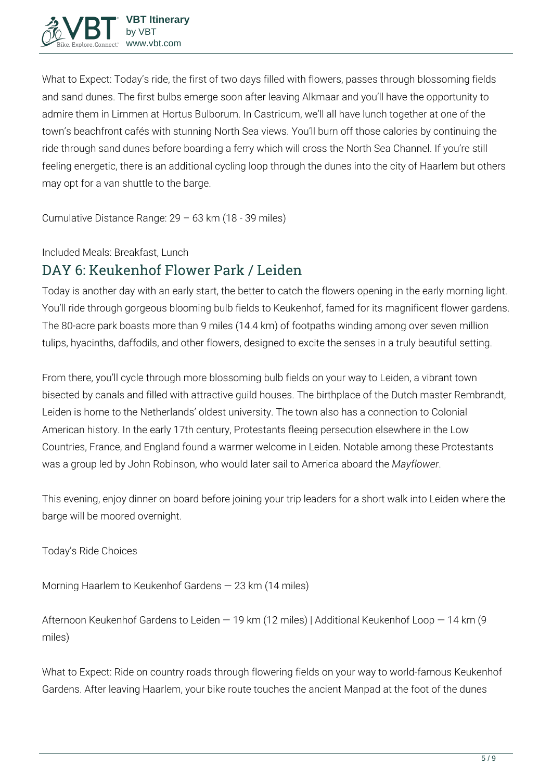**What to Expect:** Today's ride, the first of two days filled with flowers, passes through blossoming fields and sand dunes. The first bulbs emerge soon after leaving Alkmaar and you'll have the opportunity to admire them in Limmen at Hortus Bulborum. In Castricum, we'll all have lunch together at one of the town's beachfront cafés with stunning North Sea views. You'll burn off those calories by continuing the ride through sand dunes before boarding a ferry which will cross the North Sea Channel. If you're still feeling energetic, there is an additional cycling loop through the dunes into the city of Haarlem but others may opt for a van shuttle to the barge.

**Cumulative Distance Range:** 29 – 63 km (18 - 39 miles)

**Included Meals:** Breakfast, Lunch

# **DAY 6: Keukenhof Flower Park / Leiden**

Today is another day with an early start, the better to catch the flowers opening in the early morning light. You'll ride through gorgeous blooming bulb fields to Keukenhof, famed for its magnificent flower gardens. The 80-acre park boasts more than 9 miles (14.4 km) of footpaths winding among over seven million tulips, hyacinths, daffodils, and other flowers, designed to excite the senses in a truly beautiful setting.

From there, you'll cycle through more blossoming bulb fields on your way to Leiden, a vibrant town bisected by canals and filled with attractive guild houses. The birthplace of the Dutch master Rembrandt, Leiden is home to the Netherlands' oldest university. The town also has a connection to Colonial American history. In the early 17th century, Protestants fleeing persecution elsewhere in the Low Countries, France, and England found a warmer welcome in Leiden. Notable among these Protestants was a group led by John Robinson, who would later sail to America aboard the *Mayflower*.

This evening, enjoy dinner on board before joining your trip leaders for a short walk into Leiden where the barge will be moored overnight.

**Today's Ride Choices**

**Morning** Haarlem to Keukenhof Gardens — 23 km (14 miles)

**Afternoon** Keukenhof Gardens to Leiden — 19 km (12 miles) | Additional Keukenhof Loop — 14 km (9 miles)

**What to Expect:** Ride on country roads through flowering fields on your way to world-famous Keukenhof Gardens. After leaving Haarlem, your bike route touches the ancient Manpad at the foot of the dunes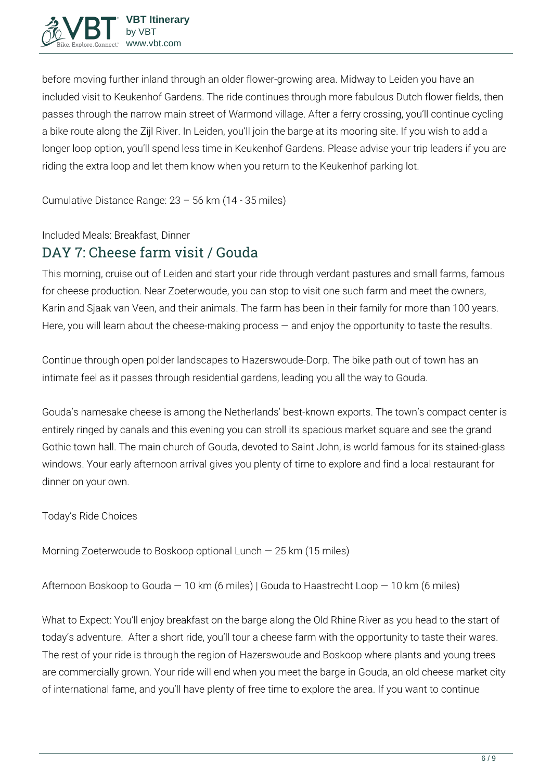

before moving further inland through an older flower-growing area. Midway to Leiden you have an included visit to Keukenhof Gardens. The ride continues through more fabulous Dutch flower fields, then passes through the narrow main street of Warmond village. After a ferry crossing, you'll continue cycling a bike route along the Zijl River. In Leiden, you'll join the barge at its mooring site. If you wish to add a longer loop option, you'll spend less time in Keukenhof Gardens. Please advise your trip leaders if you are riding the extra loop and let them know when you return to the Keukenhof parking lot.

**Cumulative Distance Range:** 23 – 56 km (14 - 35 miles)

**Included Meals:** Breakfast, Dinner

### **DAY 7: Cheese farm visit / Gouda**

This morning, cruise out of Leiden and start your ride through verdant pastures and small farms, famous for cheese production. Near Zoeterwoude, you can stop to visit one such farm and meet the owners, Karin and Sjaak van Veen, and their animals. The farm has been in their family for more than 100 years. Here, you will learn about the cheese-making process  $-$  and enjoy the opportunity to taste the results.

Continue through open polder landscapes to Hazerswoude-Dorp. The bike path out of town has an intimate feel as it passes through residential gardens, leading you all the way to Gouda.

Gouda's namesake cheese is among the Netherlands' best-known exports. The town's compact center is entirely ringed by canals and this evening you can stroll its spacious market square and see the grand Gothic town hall. The main church of Gouda, devoted to Saint John, is world famous for its stained-glass windows. Your early afternoon arrival gives you plenty of time to explore and find a local restaurant for dinner on your own.

**Today's Ride Choices**

**Morning** Zoeterwoude to Boskoop optional Lunch — 25 km (15 miles)

**Afternoon** Boskoop to Gouda — 10 km (6 miles) | Gouda to Haastrecht Loop — 10 km (6 miles)

**What to Expect:** You'll enjoy breakfast on the barge along the Old Rhine River as you head to the start of today's adventure. After a short ride, you'll tour a cheese farm with the opportunity to taste their wares. The rest of your ride is through the region of Hazerswoude and Boskoop where plants and young trees are commercially grown. Your ride will end when you meet the barge in Gouda, an old cheese market city of international fame, and you'll have plenty of free time to explore the area. If you want to continue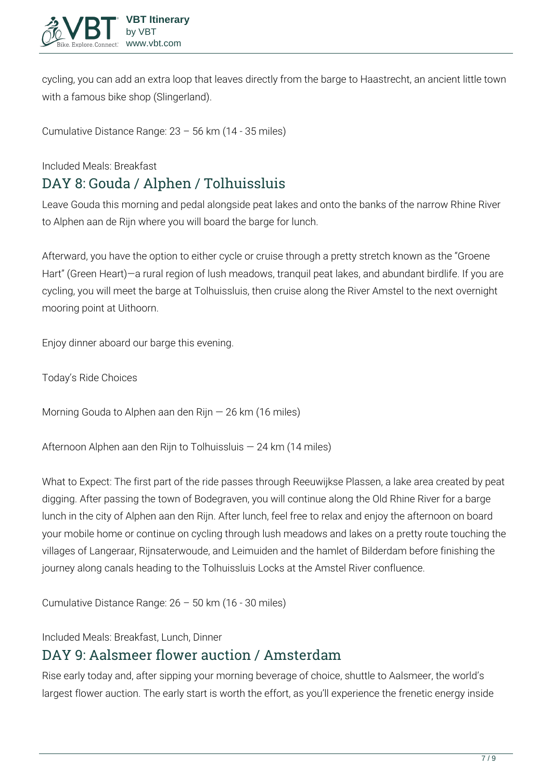

cycling, you can add an extra loop that leaves directly from the barge to Haastrecht, an ancient little town with a famous bike shop (Slingerland).

**Cumulative Distance Range:** 23 – 56 km (14 - 35 miles)

**Included Meals:** Breakfast

### **DAY 8: Gouda / Alphen / Tolhuissluis**

Leave Gouda this morning and pedal alongside peat lakes and onto the banks of the narrow Rhine River to Alphen aan de Rijn where you will board the barge for lunch.

Afterward, you have the option to either cycle or cruise through a pretty stretch known as the "Groene Hart" (Green Heart)—a rural region of lush meadows, tranquil peat lakes, and abundant birdlife. If you are cycling, you will meet the barge at Tolhuissluis, then cruise along the River Amstel to the next overnight mooring point at Uithoorn.

Enjoy dinner aboard our barge this evening.

**Today's Ride Choices**

**Morning** Gouda to Alphen aan den Rijn — 26 km (16 miles)

**Afternoon** Alphen aan den Rijn to Tolhuissluis — 24 km (14 miles)

**What to Expect:** The first part of the ride passes through Reeuwijkse Plassen, a lake area created by peat digging. After passing the town of Bodegraven, you will continue along the Old Rhine River for a barge lunch in the city of Alphen aan den Rijn. After lunch, feel free to relax and enjoy the afternoon on board your mobile home or continue on cycling through lush meadows and lakes on a pretty route touching the villages of Langeraar, Rijnsaterwoude, and Leimuiden and the hamlet of Bilderdam before finishing the journey along canals heading to the Tolhuissluis Locks at the Amstel River confluence.

**Cumulative Distance Range:** 26 – 50 km (16 - 30 miles)

**Included Meals:** Breakfast, Lunch, Dinner

#### **DAY 9: Aalsmeer flower auction / Amsterdam**

Rise early today and, after sipping your morning beverage of choice, shuttle to Aalsmeer, the world's largest flower auction. The early start is worth the effort, as you'll experience the frenetic energy inside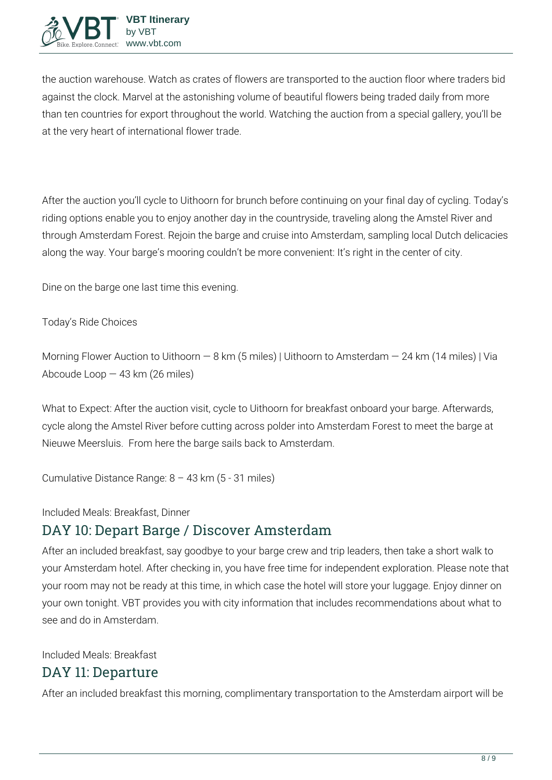

the auction warehouse. Watch as crates of flowers are transported to the auction floor where traders bid against the clock. Marvel at the astonishing volume of beautiful flowers being traded daily from more than ten countries for export throughout the world. Watching the auction from a special gallery, you'll be at the very heart of international flower trade.

After the auction you'll cycle to Uithoorn for brunch before continuing on your final day of cycling. Today's riding options enable you to enjoy another day in the countryside, traveling along the Amstel River and through Amsterdam Forest. Rejoin the barge and cruise into Amsterdam, sampling local Dutch delicacies along the way. Your barge's mooring couldn't be more convenient: It's right in the center of city.

Dine on the barge one last time this evening.

**Today's Ride Choices**

**Morning** Flower Auction to Uithoorn — 8 km (5 miles) | Uithoorn to Amsterdam — 24 km (14 miles) | Via Abcoude Loop — 43 km (26 miles)

**What to Expect:** After the auction visit, cycle to Uithoorn for breakfast onboard your barge. Afterwards, cycle along the Amstel River before cutting across polder into Amsterdam Forest to meet the barge at Nieuwe Meersluis. From here the barge sails back to Amsterdam.

**Cumulative Distance Range:** 8 – 43 km (5 - 31 miles)

**Included Meals:** Breakfast, Dinner

#### **DAY 10: Depart Barge / Discover Amsterdam**

After an included breakfast, say goodbye to your barge crew and trip leaders, then take a short walk to your Amsterdam hotel. After checking in, you have free time for independent exploration. Please note that your room may not be ready at this time, in which case the hotel will store your luggage. Enjoy dinner on your own tonight. VBT provides you with city information that includes recommendations about what to see and do in Amsterdam.

**Included Meals:** Breakfast

### **DAY 11: Departure**

After an included breakfast this morning, complimentary transportation to the Amsterdam airport will be